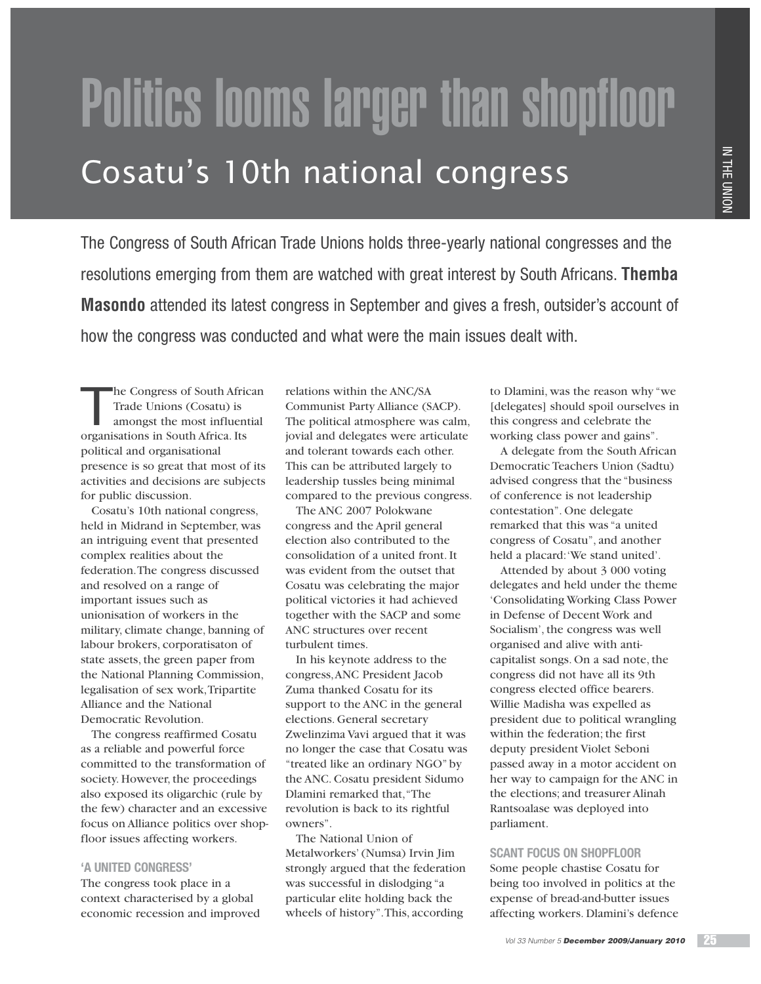# Politics looms larger than shopfloor Cosatu's 10th national congress

The Congress of South African Trade Unions holds three-yearly national congresses and the resolutions emerging from them are watched with great interest by South Africans. **Themba Masondo** attended its latest congress in September and gives a fresh, outsider's account of how the congress was conducted and what were the main issues dealt with.

The Congress of South African Trade Unions (Cosatu) is amongst the most influential organisations in South Africa. Its political and organisational presence is so great that most of its activities and decisions are subjects for public discussion.

Cosatu's 10th national congress, held in Midrand in September, was an intriguing event that presented complex realities about the federation. The congress discussed and resolved on a range of important issues such as unionisation of workers in the military, climate change, banning of labour brokers, corporatisaton of state assets, the green paper from the National Planning Commission, legalisation of sex work, Tripartite Alliance and the National Democratic Revolution.

The congress reaffirmed Cosatu as a reliable and powerful force committed to the transformation of society. However, the proceedings also exposed its oligarchic (rule by the few) character and an excessive focus on Alliance politics over shopfloor issues affecting workers.

## **'A UNITED CONGRESS'**

The congress took place in a context characterised by a global economic recession and improved relations within the ANC/SA Communist Party Alliance (SACP). The political atmosphere was calm, jovial and delegates were articulate and tolerant towards each other. This can be attributed largely to leadership tussles being minimal compared to the previous congress.

The ANC 2007 Polokwane congress and the April general election also contributed to the consolidation of a united front. It was evident from the outset that Cosatu was celebrating the major political victories it had achieved together with the SACP and some ANC structures over recent turbulent times.

In his keynote address to the congress, ANC President Jacob Zuma thanked Cosatu for its support to the ANC in the general elections. General secretary Zwelinzima Vavi argued that it was no longer the case that Cosatu was "treated like an ordinary NGO" by the ANC. Cosatu president Sidumo Dlamini remarked that, "The revolution is back to its rightful owners".

The National Union of Metalworkers' (Numsa) Irvin Jim strongly argued that the federation was successful in dislodging "a particular elite holding back the wheels of history". This, according

to Dlamini, was the reason why "we [delegates] should spoil ourselves in this congress and celebrate the working class power and gains".

A delegate from the South African Democratic Teachers Union (Sadtu) advised congress that the "business of conference is not leadership contestation". One delegate remarked that this was "a united congress of Cosatu", and another held a placard: 'We stand united'.

Attended by about 3 000 voting delegates and held under the theme 'Consolidating Working Class Power in Defense of Decent Work and Socialism', the congress was well organised and alive with anticapitalist songs. On a sad note, the congress did not have all its 9th congress elected office bearers. Willie Madisha was expelled as president due to political wrangling within the federation; the first deputy president Violet Seboni passed away in a motor accident on her way to campaign for the ANC in the elections; and treasurer Alinah Rantsoalase was deployed into parliament.

## **SCANT FOCUS ON SHOPFLOOR**

Some people chastise Cosatu for being too involved in politics at the expense of bread-and-butter issues affecting workers. Dlamini's defence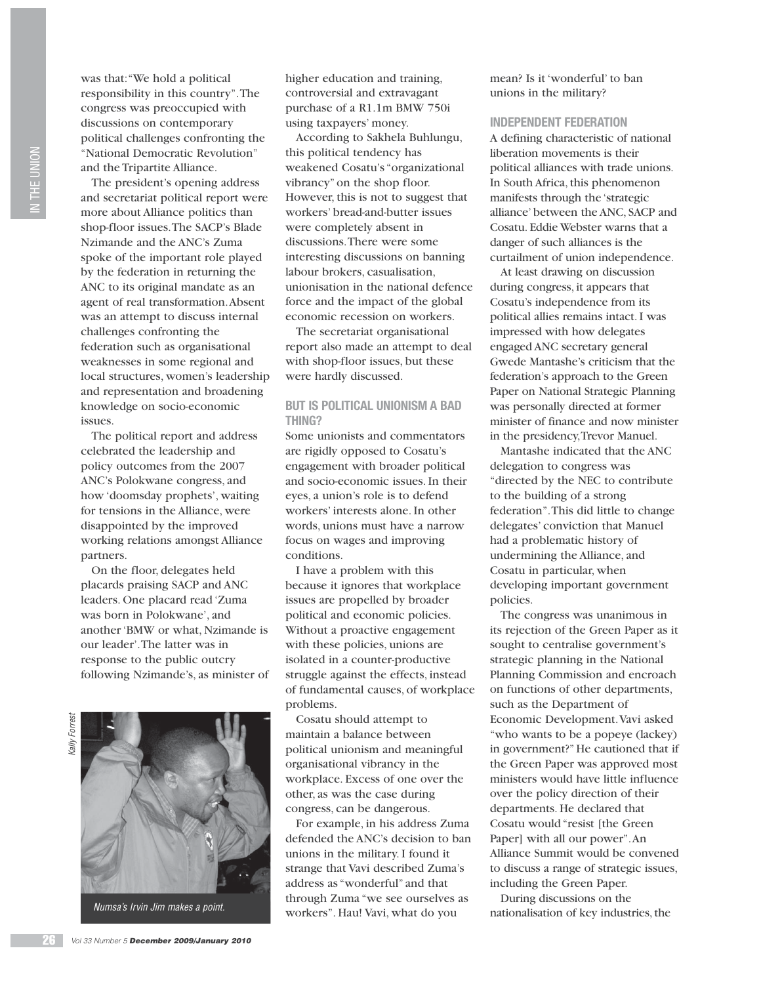was that: "We hold a political responsibility in this country". The congress was preoccupied with discussions on contemporary political challenges confronting the "National Democratic Revolution" and the Tripartite Alliance.

The president's opening address and secretariat political report were more about Alliance politics than shop-floor issues. The SACP's Blade Nzimande and the ANC's Zuma spoke of the important role played by the federation in returning the ANC to its original mandate as an agent of real transformation. Absent was an attempt to discuss internal challenges confronting the federation such as organisational weaknesses in some regional and local structures, women's leadership and representation and broadening knowledge on socio-economic issues.

The political report and address celebrated the leadership and policy outcomes from the 2007 ANC's Polokwane congress, and how 'doomsday prophets', waiting for tensions in the Alliance, were disappointed by the improved working relations amongst Alliance partners.

On the floor, delegates held placards praising SACP and ANC leaders. One placard read 'Zuma was born in Polokwane', and another 'BMW or what, Nzimande is our leader'. The latter was in response to the public outcry following Nzimande's, as minister of

Kally ForrestCally Forrest



Numsa's Irvin Jim makes a point.

higher education and training, controversial and extravagant purchase of a R1.1m BMW 750i using taxpayers' money.

According to Sakhela Buhlungu, this political tendency has weakened Cosatu's "organizational vibrancy" on the shop floor. However, this is not to suggest that workers' bread-and-butter issues were completely absent in discussions. There were some interesting discussions on banning labour brokers, casualisation, unionisation in the national defence force and the impact of the global economic recession on workers.

The secretariat organisational report also made an attempt to deal with shop-floor issues, but these were hardly discussed.

## **BUT IS POLITICAL UNIONISM A BAD THING?**

Some unionists and commentators are rigidly opposed to Cosatu's engagement with broader political and socio-economic issues. In their eyes, a union's role is to defend workers' interests alone. In other words, unions must have a narrow focus on wages and improving conditions.

I have a problem with this because it ignores that workplace issues are propelled by broader political and economic policies. Without a proactive engagement with these policies, unions are isolated in a counter-productive struggle against the effects, instead of fundamental causes, of workplace problems.

Cosatu should attempt to maintain a balance between political unionism and meaningful organisational vibrancy in the workplace. Excess of one over the other, as was the case during congress, can be dangerous.

For example, in his address Zuma defended the ANC's decision to ban unions in the military. I found it strange that Vavi described Zuma's address as "wonderful" and that through Zuma "we see ourselves as workers". Hau! Vavi, what do you

mean? Is it 'wonderful' to ban unions in the military?

# **INDEPENDENT FEDERATION**

A defining characteristic of national liberation movements is their political alliances with trade unions. In South Africa, this phenomenon manifests through the 'strategic alliance' between the ANC, SACP and Cosatu. Eddie Webster warns that a danger of such alliances is the curtailment of union independence.

At least drawing on discussion during congress, it appears that Cosatu's independence from its political allies remains intact. I was impressed with how delegates engaged ANC secretary general Gwede Mantashe's criticism that the federation's approach to the Green Paper on National Strategic Planning was personally directed at former minister of finance and now minister in the presidency, Trevor Manuel.

Mantashe indicated that the ANC delegation to congress was "directed by the NEC to contribute to the building of a strong federation". This did little to change delegates' conviction that Manuel had a problematic history of undermining the Alliance, and Cosatu in particular, when developing important government policies.

The congress was unanimous in its rejection of the Green Paper as it sought to centralise government's strategic planning in the National Planning Commission and encroach on functions of other departments, such as the Department of Economic Development. Vavi asked "who wants to be a popeye (lackey) in government?" He cautioned that if the Green Paper was approved most ministers would have little influence over the policy direction of their departments. He declared that Cosatu would "resist [the Green Paper] with all our power". An Alliance Summit would be convened to discuss a range of strategic issues, including the Green Paper.

During discussions on the nationalisation of key industries, the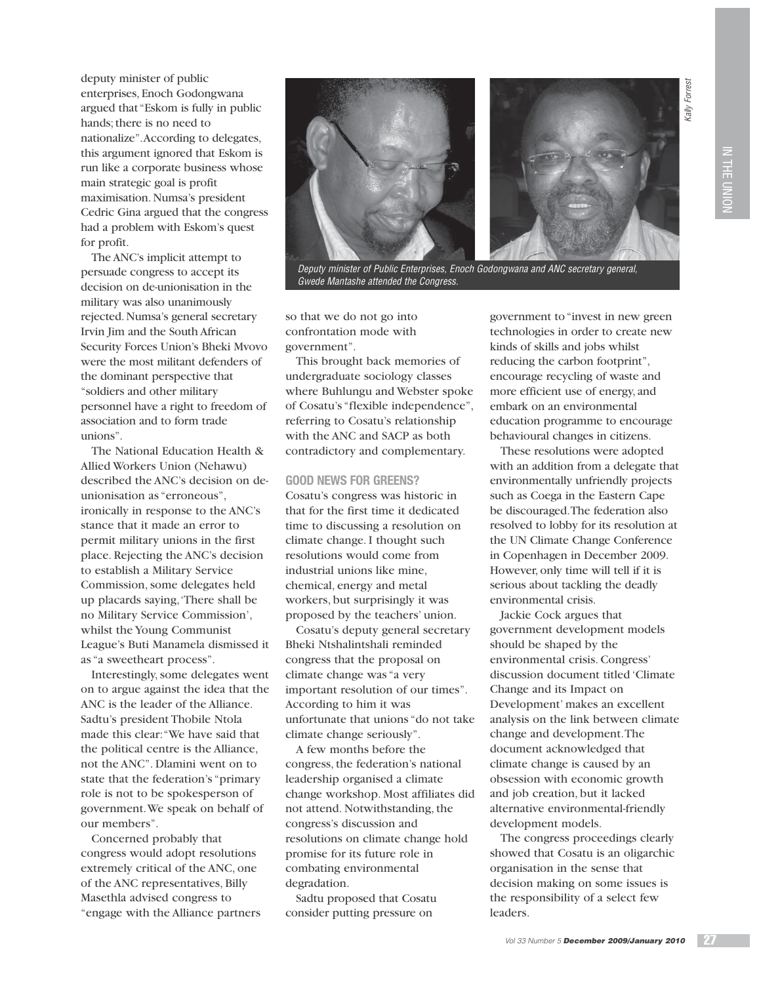deputy minister of public enterprises, Enoch Godongwana argued that "Eskom is fully in public hands; there is no need to nationalize". According to delegates, this argument ignored that Eskom is run like a corporate business whose main strategic goal is profit maximisation. Numsa's president Cedric Gina argued that the congress had a problem with Eskom's quest for profit.

The ANC's implicit attempt to persuade congress to accept its decision on de-unionisation in the military was also unanimously rejected. Numsa's general secretary Irvin Jim and the South African Security Forces Union's Bheki Mvovo were the most militant defenders of the dominant perspective that "soldiers and other military personnel have a right to freedom of association and to form trade unions".

The National Education Health & Allied Workers Union (Nehawu) described the ANC's decision on deunionisation as "erroneous", ironically in response to the ANC's stance that it made an error to permit military unions in the first place. Rejecting the ANC's decision to establish a Military Service Commission, some delegates held up placards saying, 'There shall be no Military Service Commission', whilst the Young Communist League's Buti Manamela dismissed it as "a sweetheart process".

Interestingly, some delegates went on to argue against the idea that the ANC is the leader of the Alliance. Sadtu's president Thobile Ntola made this clear: "We have said that the political centre is the Alliance, not the ANC". Dlamini went on to state that the federation's "primary role is not to be spokesperson of government. We speak on behalf of our members".

Concerned probably that congress would adopt resolutions extremely critical of the ANC, one of the ANC representatives, Billy Masethla advised congress to "engage with the Alliance partners



Deputy minister of Public Enterprises, Enoch Godongwana and ANC secretary general, Gwede Mantashe attended the Congress.

so that we do not go into confrontation mode with government".

This brought back memories of undergraduate sociology classes where Buhlungu and Webster spoke of Cosatu's "flexible independence", referring to Cosatu's relationship with the ANC and SACP as both contradictory and complementary.

#### **GOOD NEWS FOR GREENS?**

Cosatu's congress was historic in that for the first time it dedicated time to discussing a resolution on climate change. I thought such resolutions would come from industrial unions like mine, chemical, energy and metal workers, but surprisingly it was proposed by the teachers' union.

Cosatu's deputy general secretary Bheki Ntshalintshali reminded congress that the proposal on climate change was "a very important resolution of our times". According to him it was unfortunate that unions "do not take climate change seriously".

A few months before the congress, the federation's national leadership organised a climate change workshop. Most affiliates did not attend. Notwithstanding, the congress's discussion and resolutions on climate change hold promise for its future role in combating environmental degradation.

Sadtu proposed that Cosatu consider putting pressure on

government to "invest in new green technologies in order to create new kinds of skills and jobs whilst reducing the carbon footprint", encourage recycling of waste and more efficient use of energy, and embark on an environmental education programme to encourage behavioural changes in citizens.

These resolutions were adopted with an addition from a delegate that environmentally unfriendly projects such as Coega in the Eastern Cape be discouraged. The federation also resolved to lobby for its resolution at the UN Climate Change Conference in Copenhagen in December 2009. However, only time will tell if it is serious about tackling the deadly environmental crisis.

Jackie Cock argues that government development models should be shaped by the environmental crisis. Congress' discussion document titled 'Climate Change and its Impact on Development' makes an excellent analysis on the link between climate change and development. The document acknowledged that climate change is caused by an obsession with economic growth and job creation, but it lacked alternative environmental-friendly development models.

The congress proceedings clearly showed that Cosatu is an oligarchic organisation in the sense that decision making on some issues is the responsibility of a select few leaders.